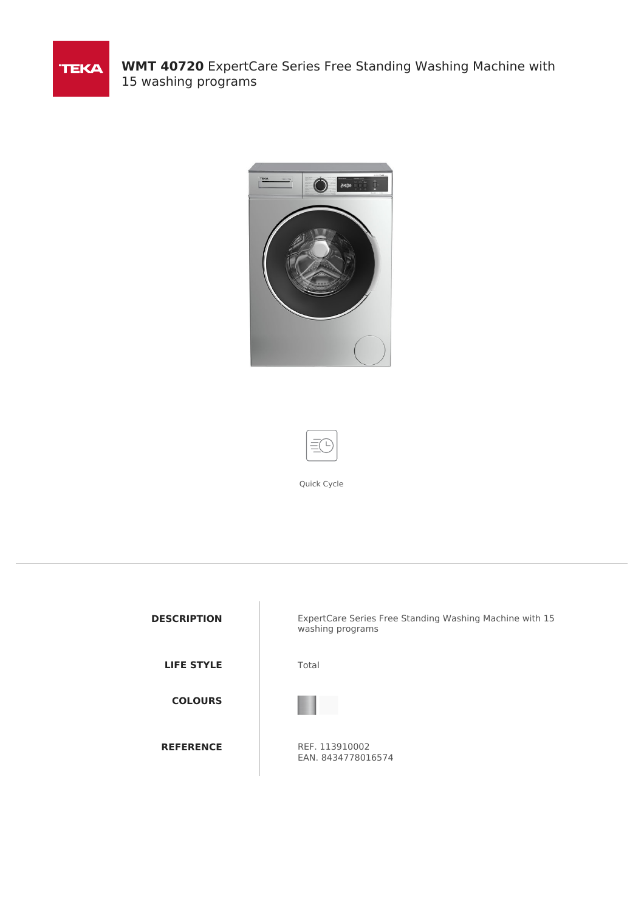

**WMT 40720** ExpertCare Series Free Standing Washing Machine with 15 washing programs





Quick Cycle

| <b>DESCRIPTION</b> | ExpertCare Series Free Standing Washing Machine with 15<br>washing programs |
|--------------------|-----------------------------------------------------------------------------|
| <b>LIFE STYLE</b>  | Total                                                                       |
| <b>COLOURS</b>     |                                                                             |
| <b>REFERENCE</b>   | REF. 113910002<br>EAN. 8434778016574                                        |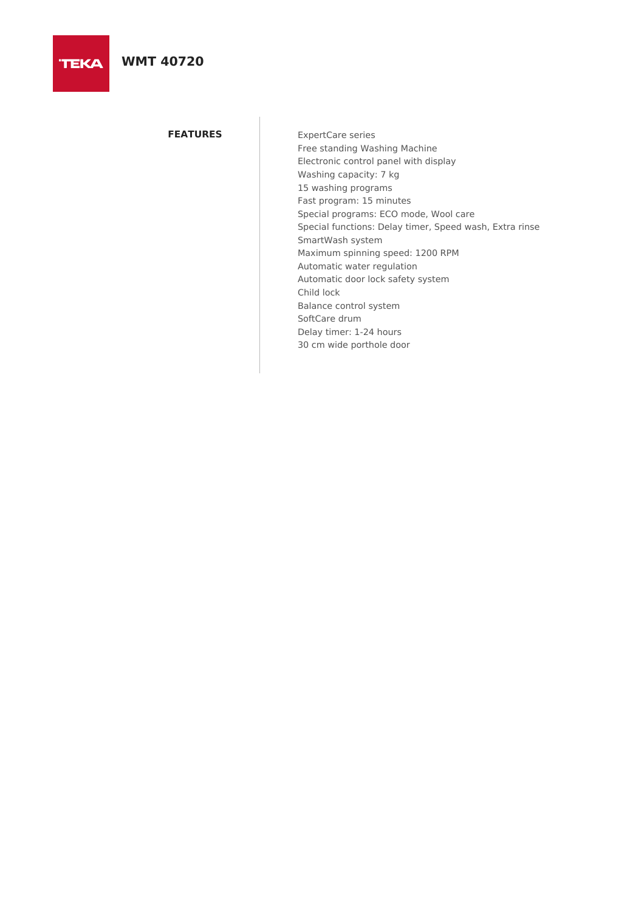**TEKA** 

## **FEATURES** ExpertCare series

Free standing Washing Machine Electronic control panel with display Washing capacity: 7 kg 15 washing programs Fast program: 15 minutes Special programs: ECO mode, Wool care Special functions: Delay timer, Speed wash, Extra rinse SmartWash system Maximum spinning speed: 1200 RPM Automatic water regulation Automatic door lock safety system Child lock Balance control system SoftCare drum Delay timer: 1-24 hours 30 cm wide porthole door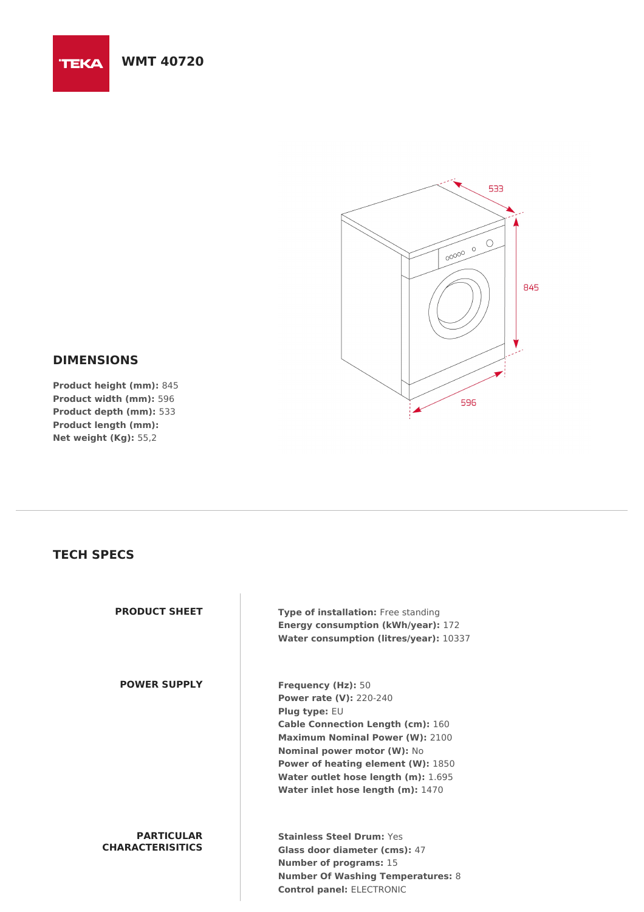



## **DIMENSIONS**

**Product height (mm):** 845 **Product width (mm):** 596 **Product depth (mm):** 533 **Product length (mm): Net weight (Kg):** 55,2

## **TECH SPECS**

| <b>PRODUCT SHEET</b>                         | Type of installation: Free standing<br><b>Energy consumption (kWh/year): 172</b><br>Water consumption (litres/year): 10337                                                                                                                                                                                                                            |
|----------------------------------------------|-------------------------------------------------------------------------------------------------------------------------------------------------------------------------------------------------------------------------------------------------------------------------------------------------------------------------------------------------------|
| <b>POWER SUPPLY</b>                          | <b>Frequency (Hz): 50</b><br><b>Power rate (V): 220-240</b><br><b>Plug type: <math>EU</math></b><br><b>Cable Connection Length (cm): 160</b><br><b>Maximum Nominal Power (W): 2100</b><br><b>Nominal power motor (W): No</b><br><b>Power of heating element (W): 1850</b><br>Water outlet hose length (m): 1.695<br>Water inlet hose length (m): 1470 |
| <b>PARTICULAR</b><br><b>CHARACTERISITICS</b> | <b>Stainless Steel Drum: Yes</b><br>Glass door diameter (cms): 47<br><b>Number of programs: 15</b><br><b>Number Of Washing Temperatures: 8</b>                                                                                                                                                                                                        |

**Control panel:** ELECTRONIC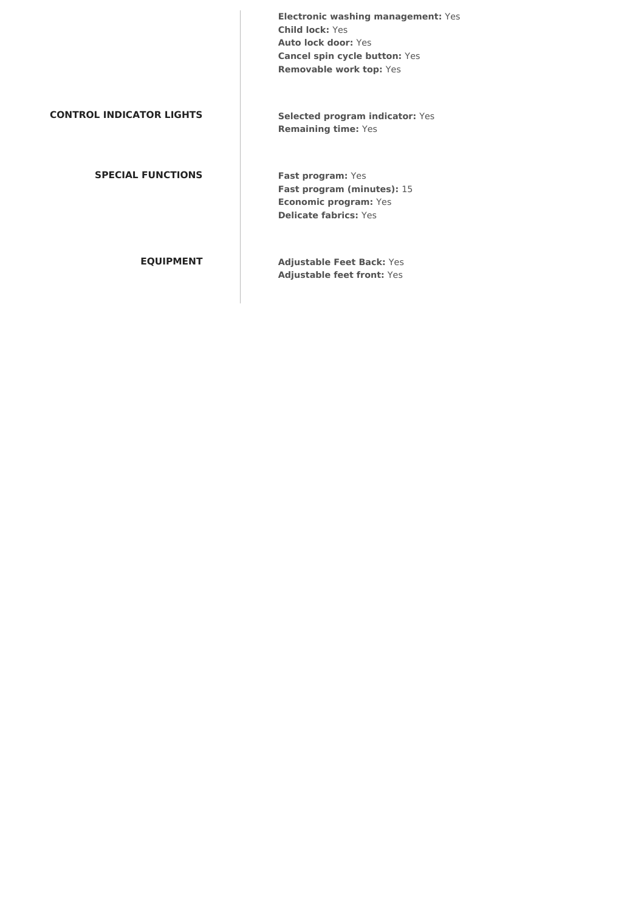**Electronic washing management:** Yes **Child lock:** Yes **Auto lock door:** Yes **Cancel spin cycle button:** Yes **Removable work top:** Yes **CONTROL INDICATOR LIGHTS Selected program indicator:** Yes **Remaining time:** Yes **SPECIAL FUNCTIONS Fast program:** Yes **Fast program (minutes):** 15 **Economic program:** Yes **Delicate fabrics:** Yes **EQUIPMENT Adjustable Feet Back:** Yes **Adjustable feet front:** Yes